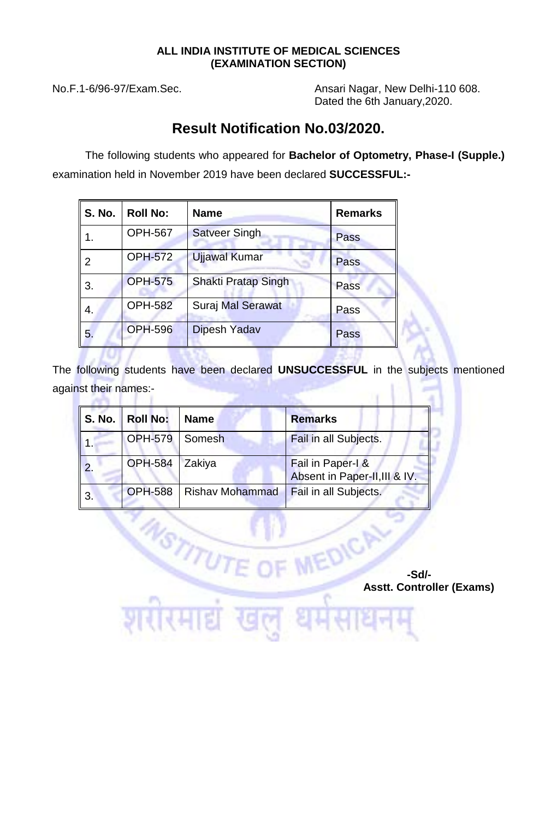## **ALL INDIA INSTITUTE OF MEDICAL SCIENCES (EXAMINATION SECTION)**

**ANTI LE** 

No.F.1-6/96-97/Exam.Sec. **Ansari Nagar, New Delhi-110 608.** Dated the 6th January,2020.

## **Result Notification No.03/2020.**

The following students who appeared for **Bachelor of Optometry, Phase-I (Supple.)**  examination held in November 2019 have been declared **SUCCESSFUL:-**

| <b>S. No.</b> | <b>Roll No:</b> | <b>Name</b>                | <b>Remarks</b> |
|---------------|-----------------|----------------------------|----------------|
|               | <b>OPH-567</b>  | <b>Satveer Singh</b>       | Pass           |
|               | <b>OPH-572</b>  | <b>Ujjawal Kumar</b>       | Pass           |
| 3.            | <b>OPH-575</b>  | <b>Shakti Pratap Singh</b> | Pass           |
| 4.            | <b>OPH-582</b>  | <b>Suraj Mal Serawat</b>   | Pass           |
| 5.            | <b>OPH-596</b>  | <b>Dipesh Yadav</b>        | Pass           |

The following students have been declared **UNSUCCESSFUL** in the subjects mentioned against their names:-

| <b>S. No.</b> | Roll No:         | <b>Name</b>            | <b>Remarks</b>                                     |
|---------------|------------------|------------------------|----------------------------------------------------|
|               | OPH-579   Somesh |                        | Fail in all Subjects.                              |
|               | OPH-584 Zakiya   |                        | Fail in Paper-I &<br>Absent in Paper-II, III & IV. |
| 3.            | <b>OPH-588</b>   | <b>Rishav Mohammad</b> | Fail in all Subjects.                              |

NSTITUT

 **-Sd/- Asstt. Controller (Exams)**